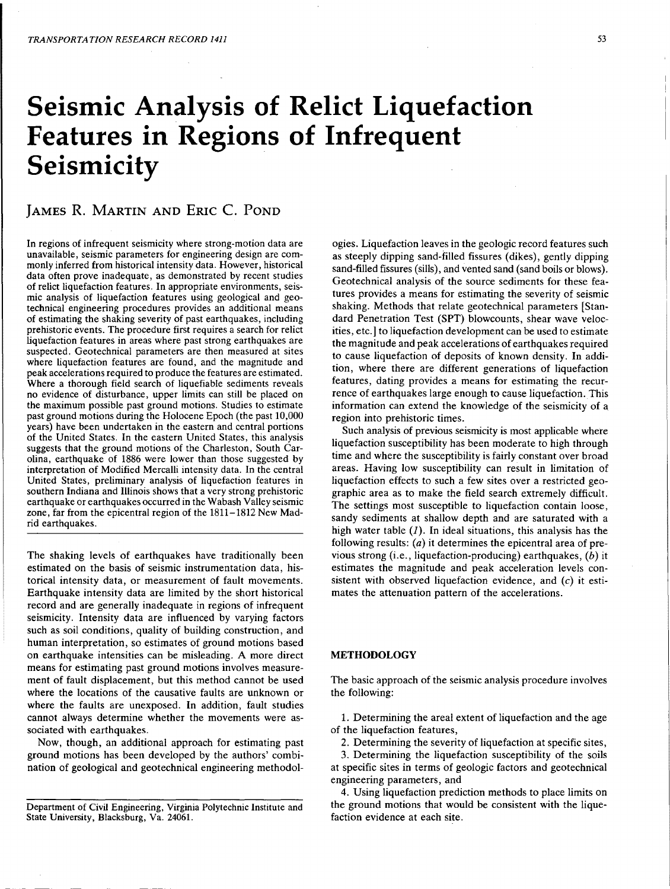# Seismic Analysis of Relict Liquefaction Features in Regions of Infrequent Seismicity

## JAMES R. MARTIN AND ERIC C. POND

In regions of infrequent seismicity where strong-motion data are unavailable, seismic parameters for engineering design are commonly inferred from historical intensity data. However, historical data often prove inadequate, as demonstrated by recent studies of relict liquefaction features. In appropriate environments, seismic analysis of liquefaction features using geological and geotechnical engineering procedures provides an additional means of estimating the shaking severity of past earthquakes, including prehistoric events. The procedure first requires a search for relict liquefaction features in areas where past strong earthquakes are suspected. Geotechnical parameters are then measured at sites where liquefaction features are found, and the magnitude and peak accelerations required to produce the features are estimated. Where a thorough field search of liquefiable sediments reveals no evidence of disturbance, upper limits can still be placed on the maximum possible past ground motions. Studies to estimate past ground motions during the Holocene Epoch (the past 10,000 years) have been undertaken in the eastern and central portions of the United States. In the eastern United States, this analysis suggests that the ground motions of the Charleston, South Carolina, earthquake of 1886 were lower than those suggested by interpretation of Modified Mercalli intensity data. In the central United States, preliminary analysis of liquefaction features in southern Indiana and Illinois shows that a very strong prehistoric earthquake or earthquakes occurred in the Wabash Valley seismic zone, far from the epicentral region of the 1811-1812 New Madrid earthquakes.

The shaking levels of earthquakes have traditionally been estimated on the basis of seismic instrumentation data, historical intensity data, or measurement of fault movements. Earthquake intensity data are limited by the short historical record and are generally inadequate in regions of infrequent seismicity. Intensity data are influenced by varying factors such as soil conditions, quality of building construction, and human interpretation, so estimates of ground motions based on earthquake intensities can be misleading. A more direct means for estimating past ground motions involves measurement of fault displacement, but this method cannot be used where the locations of the causative faults are unknown or where the faults are unexposed. In addition, fault studies cannot always determine whether the movements were associated with earthquakes.

Now, though, an additional approach for estimating past ground motions has been developed by the authors' combination of geological and geotechnical engineering methodol-

Department of Civil Engineering, Virginia Polytechnic Institute and State University, Blacksburg, Va. 24061.

ogies. Liquefaction leaves in the geologic record features such as steeply dipping sand-filled fissures (dikes), gently dipping sand-filled fissures (sills), and vented sand (sand boils or blows). Geotechnical analysis of the source sediments for these features provides a means for estimating the severity of seismic shaking. Methods that relate geotechnical parameters [Standard Penetration Test (SPT) blowcounts, shear wave velocities, etc.] to liquefaction development can be used to estimate the magnitude and peak accelerations of earthquakes required to cause liquefaction of deposits of known density. In addition, where there are different generations of liquefaction features, dating provides a means for estimating the recurrence of earthquakes large enough to cause liquefaction. This information can extend the knowledge of the seismicity of a region into prehistoric times.

Such analysis of previous seismicity is most applicable where liquefaction susceptibility has been moderate to high through time and where the susceptibility is fairly constant over broad areas. Having low susceptibility can result in limitation of liquefaction effects to such a few sites over a restricted geographic area as to make the field search extremely difficult. The settings most susceptible to liquefaction contain loose, sandy sediments at shallow depth and are saturated with a high water table  $(I)$ . In ideal situations, this analysis has the following results:  $(a)$  it determines the epicentral area of previous strong (i.e., liquefaction-producing) earthquakes, (b) it estimates the magnitude and peak acceleration levels consistent with observed liquefaction evidence, and  $(c)$  it estimates the attenuation pattern of the accelerations.

## METHODOLOGY

The basic approach of the seismic analysis procedure involves the following:

1. Determining the areal extent of liquefaction and the age of the liquefaction features,

2. Determining the severity of liquefaction at specific sites,

3. Determining the liquefaction susceptibility of the soils at specific sites in terms of geologic factors and geotechnical engineering parameters, and

4. Using liquefaction prediction methods to place limits on the ground motions that would be consistent with the liquefaction evidence at each site.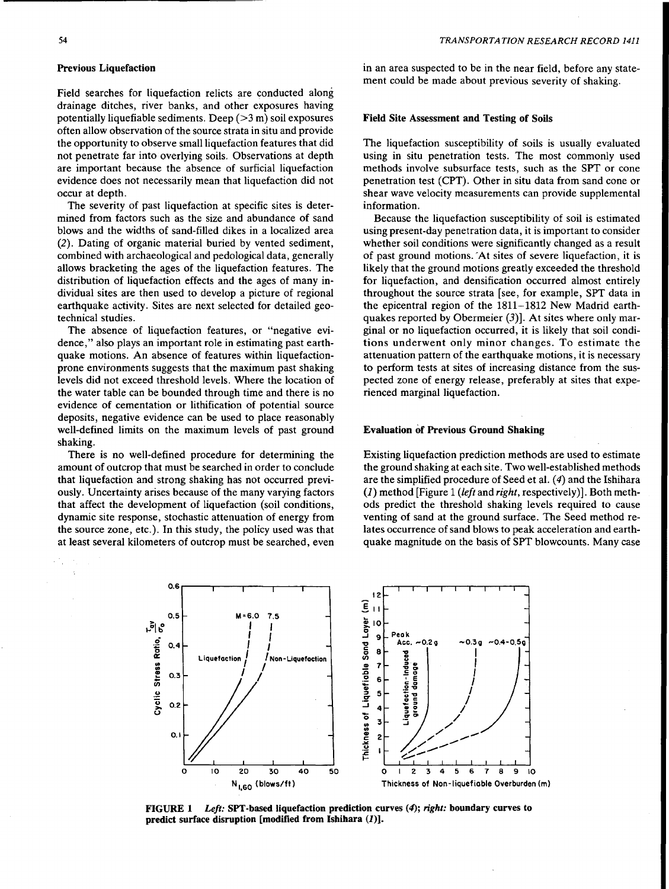## Previous Liquefaction

Field searches for liquefaction relicts are conducted along drainage ditches, river banks, and other exposures having potentially liquefiable sediments. Deep  $(>3 \text{ m})$  soil exposures often allow observation of the source strata in situ and provide the opportunity to observe small liquefaction features that did not penetrate far into overlying soils. Observations at depth are important because the absence of surficial liquefaction evidence does not necessarily mean that liquefaction did not occur at depth.

The severity of past liquefaction at specific sites is determined from factors such as the size and abundance of sand blows and the widths of sand-filled dikes in a localized area (2). Dating of organic material buried by vented sediment, combined with archaeological and pedological data, generally allows bracketing the ages of the liquefaction features. The distribution of liquefaction effects and the ages of many individual sites are then used to develop a picture of regional earthquake activity. Sites are next selected for detailed geotechnical studies.

The absence of liquefaction features, or "negative evidence," also plays an important role in estimating past earthquake motions. An absence of features within liquefactionprone environments suggests that the maximum past shaking levels did not exceed threshold levels. Where the location of the water table can be bounded through time and there is no evidence of cementation or lithification of potential source deposits, negative evidence can be used to place reasonably well-defined limits on the maximum levels of past ground shaking.

There is no well-defined procedure for determining the amount of outcrop that must be searched in order to conclude that liquefaction and strong shaking has not occurred previously. Uncertainty arises because of the many varying factors that affect the development of liquefaction (soil conditions, dynamic site response, stochastic attenuation of energy from the source zone, etc.). In this study, the policy used was that at least several kilometers of outcrop must be searched, even in an area suspected to be in the near field, before any statement could be made about previous severity of shaking.

## Field Site Assessment and Testing of Soils

The liquefaction susceptibility of soils is usually evaluated using in situ penetration tests. The most commonly used methods involve subsurface tests, such as the SPT or cone penetration test (CPT). Other in situ data from sand cone or shear wave velocity measurements can provide supplemental information.

Because the liquefaction susceptibility of soil is estimated using present-day penetration data, it is important to consider whether soil conditions were significantly changed as a result of past ground motions. 'At sites of severe liquefaction, it is likely that the ground motions greatly exceeded the threshold for liquefaction, and densification occurred almost entirely throughout the source strata [see, for example, SPT data in the epicentral region of the 1811-1812 New Madrid earthquakes reported by Obermeier (3)]. At sites where only marginal or no liquefaction occurred, it is likely that soil conditions underwent only minor changes. To estimate the attenuation pattern of the earthquake motions, it is necessary to perform tests at sites of increasing distance from the suspected zone of energy release, preferably at sites that experienced marginal liquefaction.

#### Evaluation of Previous Ground Shaking

Existing liquefaction prediction methods are used to estimate the ground shaking at each site. Two well-established methods are the simplified procedure of Seed et al. (4) and the Ishihara (1) method [Figure 1 *(left* and *right,* respectively)]. Both methods predict the threshold shaking levels required to cause venting of sand at the ground surface. The Seed method relates occurrence of sand blows to peak acceleration and earthquake magnitude on the basis of SPT blowcounts. Many case



FIGURE 1 *Left:* SPT-based liquefaction prediction curves (4); *right:* boundary curves to predict surface disruption [modified from Ishihara (1)].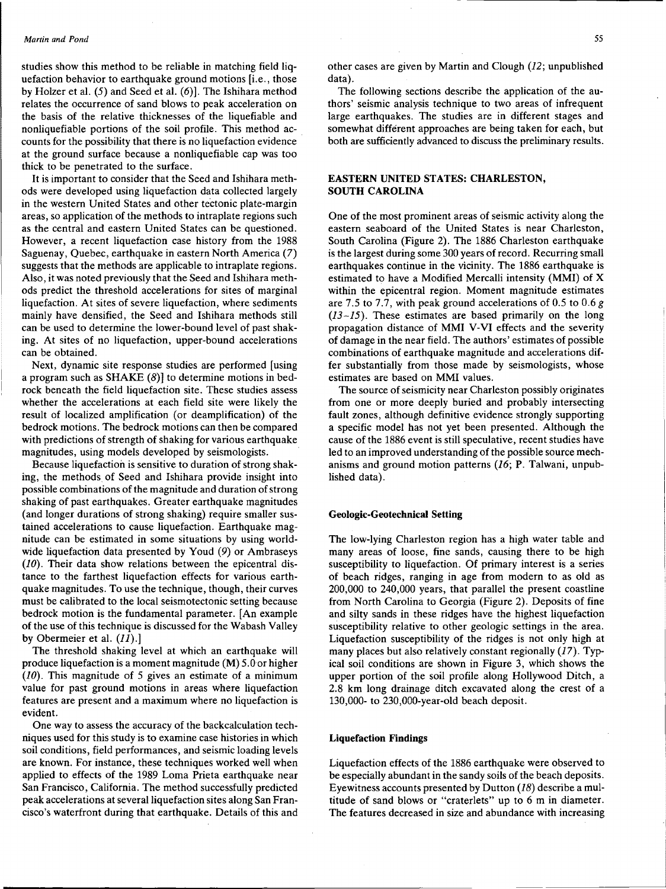studies show this method to be reliable in matching field liquefaction behavior to earthquake ground motions [i.e., those by Holzer et al.  $(5)$  and Seed et al.  $(6)$ ]. The Ishihara method relates the occurrence of sand blows to peak acceleration on the basis of the relative thicknesses of the liquefiable and nonliquefiable portions of the soil profile. This method accounts for the possibility that there is no liquefaction evidence at the ground surface because a nonliquefiable cap was too thick to be penetrated to the surface.

It is important to consider that the Seed and Ishihara methods were developed using liquefaction data collected largely in the western United States and other tectonic plate-margin areas, so application of the methods to intraplate regions such as the central and eastern United States can be questioned. However, a recent liquefaction case history from the 1988 Saguenay, Quebec, earthquake in eastern North America (7) suggests that the methods are applicable to intraplate regions. Also, it was noted previously that the Seed and Ishihara methods predict the threshold accelerations for sites of marginal liquefaction. At sites of severe liquefaction, where sediments mainly have densified, the Seed and Ishihara methods still can be used to determine the lower-bound level of past shaking. At sites of no liquefaction, upper-bound accelerations can be obtained.

Next, dynamic site response studies are performed [using a program such as SHAKE  $(8)$ ] to determine motions in bedrock beneath the field liquefaction site. These studies assess whether the accelerations at each field site were likely the result of localized amplification (or deamplification) of the bedrock motions. The bedrock motions can then be compared with predictions of strength of shaking for various earthquake magnitudes, using models developed by seismologists.

Because liquefaction is sensitive to duration of strong shaking, the methods. of Seed and Ishihara provide insight into possible combinations of the magnitude and duration of strong shaking of past earthquakes. Greater earthquake magnitudes (and longer durations of strong shaking) require smaller sustained accelerations to cause liquefaction. Earthquake magnitude can be estimated in some situations by using worldwide liquefaction data presented by Youd (9) or Ambraseys (10). Their data show relations between the epicentral distance to the farthest liquefaction effects for various earthquake magnitudes. To use the technique, though, their curves must be calibrated to the local seismotectonic setting because bedrock motion is the fundamental parameter. [An example of the use of this technique is discussed for the Wabash Valley by Obermeier et al. (11).]

The threshold shaking level at which an earthquake will produce liquefaction is a moment magnitude (M) 5.0or higher (10). This magnitude of 5 gives an estimate of a minimum value for past ground motions in areas where liquefaction features are present and a maximum where no liquefaction is evident.

One way to assess the accuracy of the backcalculation techniques used for this study is to examine case histories in which soil conditions, field performances, and seismic loading levels are known. For instance, these techniques worked well when applied to effects of the 1989 Loma Prieta earthquake near San Francisco, California. The method successfully predicted peak accelerations at several liquefaction sites along San Francisco's waterfront during that earthquake. Details of this and other cases are given by Martin and Clough (12; unpublished data).

The following sections describe the application of the authors' seismic analysis technique to two areas of infrequent large earthquakes. The studies are in different stages and somewhat different approaches are being taken for each, but both are sufficiently advanced to discuss the preliminary results.

## EASTERN UNITED STATES: CHARLESTON, SOUTH CAROLINA

One of the most prominent areas of seismic activity along the eastern seaboard of the United States is near Charleston, South Carolina (Figure 2). The 1886 Charleston earthquake is the largest during some 300 years of record. Recurring small earthquakes continue in the vicinity. The 1886 earthquake is estimated to have a Modified Mercalli intensity (MMI) of X within the epicentral region. Moment magnitude estimates are 7.5 to 7.7, with peak ground accelerations of 0.5 to 0.6 *g (13-15).* These estimates are based primarily on the long propagation distance of MMI V-VI effects and the severity of damage in the near field. The authors' estimates of possible combinations of earthquake magnitude and accelerations differ substantially from those made by seismologists, whose estimates are based on MMI values.

The source of seismicity near Charleston possibly originates from one or more deeply buried and probably intersecting fault zones, although definitive evidence strongly supporting a specific model has not yet been presented. Although the cause of the 1886 event is still speculative, recent studies have led to an improved understanding of the possible source mechanisms and ground motion patterns (16; P. Talwani, unpublished data).

## Geologic-Geotechnical Setting

The low-lying Charleston region has a high water table and many areas of loose, fine sands, causing there to be high susceptibility to liquefaction. Of primary interest is a series of beach ridges, ranging in age from modern to as old as 200,000 to 240,000 years, that parallel the present coastline from North Carolina to Georgia (Figure 2). Deposits of fine and silty sands in these ridges have the highest liquefaction susceptibility relative to other geologic settings in the area. Liquefaction susceptibility of the ridges is not only high at many places but also relatively constant regionally (17). Typical soil conditions are shown in Figure 3, which shows the upper portion of the soil profile along Hollywood Ditch, a 2.8 km long drainage ditch excavated along the crest of a 130,000- to 230,000-year-old beach deposit.

#### Liquefaction Findings

Liquefaction effects of the 1886 earthquake were observed to be especially abundant in the sandy soils of the beach deposits. Eyewitness accounts presented by Dutton (18) describe a multitude of sand blows or "craterlets" up to 6 m in diameter. The features decreased in size and abundance with increasing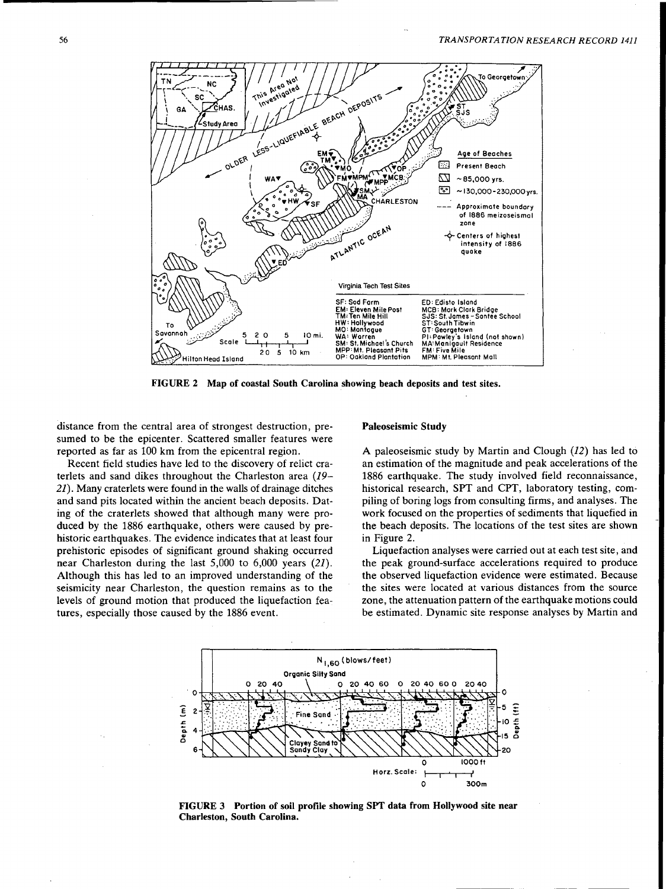

FIGURE 2 Map of coastal South Carolina showing beach deposits and test sites.

distance from the central area of strongest destruction, presumed to be the epicenter. Scattered smaller features were reported as far as 100 km from the epicentral region.

Recent field studies have led to the discovery of relict craterlets and sand dikes throughout the Charleston area *(19- 21).* Many craterlets were found in the walls of drainage ditches and sand pits located within the ancient beach deposits. Dating of the craterlets showed that although many were produced by the 1886 earthquake, others were caused by prehistoric earthquakes. The evidence indicates that at least four prehistoric episodes of significant ground shaking occurred near Charleston during the last 5,000 to 6,000 years *(21).*  Although this has led to an improved understanding of the seismicity near Charleston, the question remains as to the levels of ground motion that produced the liquefaction features, especially those caused by the 1886 event.

#### Paleoseismic Study

A paleoseismic study by Martin and Clough (12) has led to an estimation of the magnitude and peak accelerations of the 1886 earthquake. The study involved field reconnaissance, historical research, SPT and CPT, laboratory testing, compiling of boring logs from consulting firms, and analyses. The work focused on the properties of sediments that liquefied in the beach deposits. The locations of the test sites are shown in Figure 2.

Liquefaction analyses were carried out at each test site, and the peak ground-surface accelerations required to produce the observed liquefaction evidence were estimated. Because the sites were located at various distances from the source zone, the attenuation pattern of the earthquake motions could be estimated. Dynamic site response analyses by Martin and



FIGURE 3 Portion of soil profile showing SPT data from Hollywood site near Charleston, South Carolina.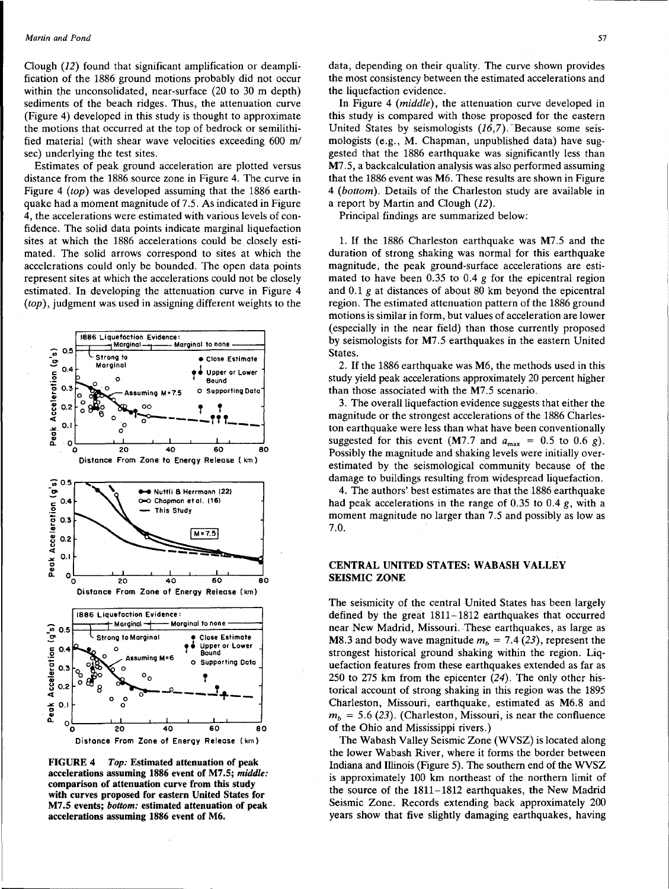Clough (12) found that significant amplification or deamplification of the 1886 ground motions probably did not occur within the unconsolidated, near-surface  $(20 \text{ to } 30 \text{ m depth})$ sediments of the beach ridges. Thus, the attenuation curve (Figure 4) developed in this study is thought to approximate the motions that occurred at the top of bedrock or semilithified material (with shear wave velocities exceeding 600 *ml*  sec) underlying the test sites.

Estimates of peak ground acceleration are plotted versus distance from the 1886 source zone in Figure 4. The. curve in Figure 4 *(top)* was developed assuming that the 1886 earthquake had a moment magnitude of 7.5. As indicated in Figure 4, the accelerations were estimated with various levels of confidence. The solid data points indicate marginal liquefaction sites at which the 1886 accelerations could be closely estimated. The solid arrows correspond to sites at which the accelerations could only be bounded. The open data points represent sites at which the accelerations could not be closely estimated. In developing the attenuation curve in Figure 4 *(top),* judgment was used in assigning different weights to the



FIGURE 4 *Top:* Estimated attenuation of peak accelerations assuming 1886 event of M7.5; *middle:*  comparison of attenuation curve from this study with curves proposed for eastern United States for M7 .5 events; *bottom:* estimated attenuation of peak accelerations assuming 1886 event of M6.

data, depending on their quality. The curve shown provides the most consistency between the estimated accelerations and the liquefaction evidence.

In Figure 4 *(middle),* the attenuation curve developed in this study is compared with those proposed for the eastern United States by seismologists  $(16,7)$ . Because some seismologists (e.g., M. Chapman, unpuplished data) have suggested that the 1886 earthquake was significantly less than M7.5, a backcalculation analysis was also performed assuming that the 1886 event was M6. These results are shown in Figure 4 *(bottom).* Details of the Charleston study are available in a report by Martin and Clough (12).

Principal findings are summarized below:

1. If the 1886 Charleston earthquake was M7 .5 and the duration of strong shaking was normal for this earthquake magnitude, the peak ground-surface accelerations are estimated to have been 0.35 to 0.4 *g* for the epicentral region and 0.1 g at distances of about 80 km beyond the epicentral region. The estimated attenuation pattern of the 1886 ground motions is similar in form, but values of acceleration are lower (especially in the near field) than those currently proposed by seismologists for M7 .5 earthquakes in the eastern United States.

2. If the 1886 earthquake was M6, the methods used in this study yield peak accelerations approximately 20 percent higher than those associated with the M7.5 scenario.

3. The overall liquefaction evidence suggests that either the magnitude or the strongest accelerations of the 1886 Charleston earthquake were less than what have been conventionally suggested for this event (M7.7 and  $a_{\text{max}} = 0.5$  to 0.6 g). Possibly the magnitude and shaking levels were initially overestimated by the seismological community because of the damage to buildings resulting from widespread liquefaction.

4. The authors' best estimates are that the 1886 earthquake had peak accelerations in the range of 0.35 to 0.4 g, with a moment magnitude no larger than 7 .5 and possibly as low as 7.0.

## CENTRAL UNITED STATES: WABASH VALLEY SEISMIC ZONE

The seismicity of the central United States has been largely defined by the great 1811-1812 earthquakes that occurred near New Madrid, Missouri. These earthquakes, as large as M8.3 and body wave magnitude  $m_b = 7.4$  (23), represent the strongest historical ground shaking within the region. Liquefaction features from these earthquakes extended as far as 250 to 275 km from the epicenter (24). The only other historical account of strong shaking in this region was the 1895 Charleston, Missouri, earthquake, estimated as M6.8 and  $m_b = 5.6$  (23). (Charleston, Missouri, is near the confluence of the Ohio and Mississippi rivers.)

The Wabash Valley Seismic Zone (WVSZ) is located along the lower Wabash River, where it forms the border between Indiana and Illinois (Figure 5). The southern end of the WVSZ is approximately 100 km northeast of the northern limit of the source of the 1811-1812 earthquakes, the New Madrid Seismic Zone. Records extending back approximately 200 years show that five slightly damaging earthquakes, having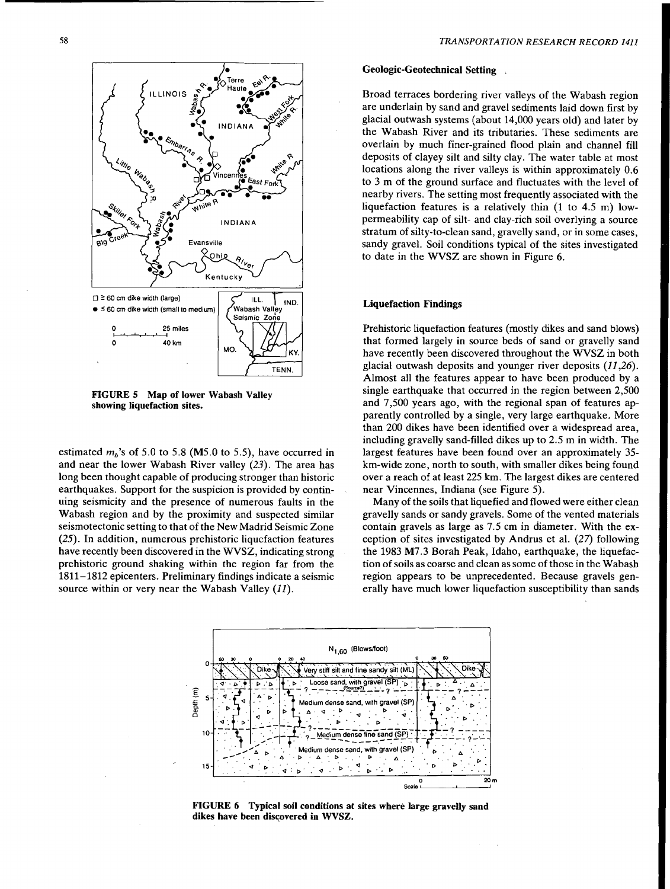

FIGURE 5 Map of lower Wabash Valley showing liquefaction sites.

estimated  $m_b$ 's of 5.0 to 5.8 (M5.0 to 5.5), have occurred in and near the lower Wabash River valley (23). The area has long been thought capable of producing stronger than historic earthquakes. Support for the suspicion is provided by continuing seismicity and the presence of numerous faults in the Wabash region and by the proximity and suspected similar seismotectonic setting to that of the New Madrid Seismic Zone (25). In addition, numerous prehistoric liquefaction features have recently been discovered in the WVSZ, indicating strong prehistoric ground shaking within the region far from the 1811-1812 epicenters. Preliminary findings indicate a seismic source within or very near the Wabash Valley (11).

## Geologic-Geotechnical Setting ,

Broad terraces bordering river valleys of the Wabash region are underlain by sand and gravel sediments laid down first by glacial outwash systems (about 14,000 years old) and later by the Wabash River and its tributaries. These sediments are overlain by much finer-grained flood plain and channel fill deposits of clayey silt and silty clay. The water table at most locations along the river valleys is within approximately 0.6 to 3 m of the ground surface and fluctuates with the level of nearby rivers. The setting most frequently associated with the liquefaction features is a relatively thin (1 to 4.5 m) lowpermeability cap of silt- and clay-rich soil overlying a source stratum of silty-to-clean sand, gravelly sand, or in some cases, sandy gravel. Soil conditions typical of the sites investigated to date in the WVSZ are shown in Figure 6.

## Liquefaction Findings

Prehistoric liquefaction features (mostly dikes and sand blows) that formed largely in source beds of sand or gravelly sand have recently been discovered throughout the WVSZ in both glacial outwash deposits and younger river deposits  $(11,26)$ . Almost all the features appear to have been produced by a single earthquake that occurred in the region between 2,500 and 7 ,500 years ago, with the regional span of features apparently controlled by a single, very large earthquake. More than 200 dikes have been identified over a widespread area, including gravelly sand-filled dikes up to  $2.5$  m in width. The largest features have been found over an approximately 35 km-wide zone, north to south, with smaller dikes being found over a reach of at least 225 km. The largest dikes are centered near Vincennes, Indiana (see Figure 5).

Many of the soils that liquefied and flowed were either clean gravelly sands or sandy gravels. Some of the vented materials contain gravels as large as 7.5 cm in diameter. With the exception of sites investigated by Andrus et al. (27) following the 1983 M7 .3 Borah Peak, Idaho, earthquake, the liquefaction of soils as coarse and clean as some of those in the Wabash region appears to be unprecedented. Because gravels generally have much lower liquefaction susceptibility than sands



FIGURE 6 Typical soil conditions at sites where large gravelly sand dikes have been discovered in WVSZ.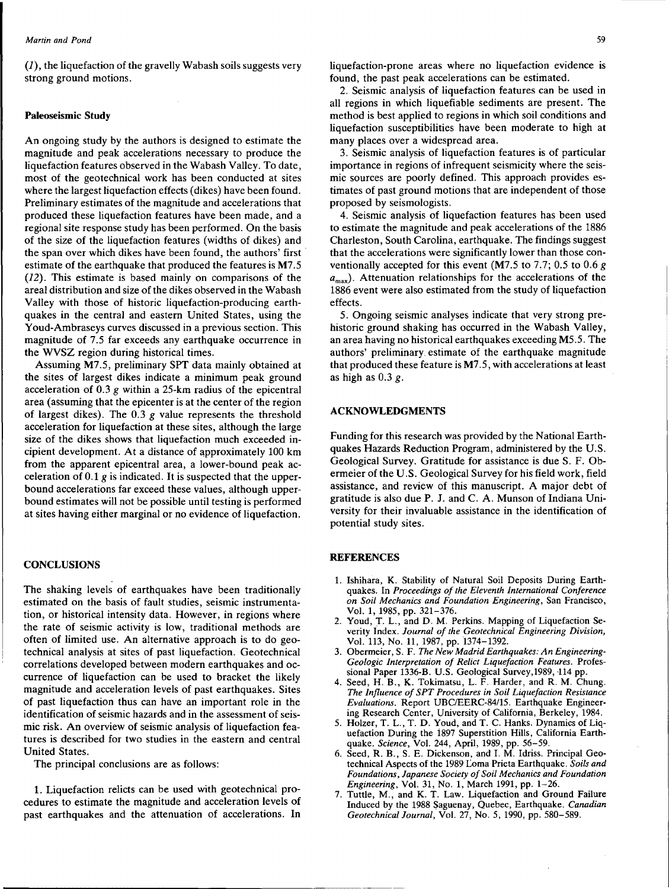$(1)$ , the liquefaction of the gravelly Wabash soils suggests very strong ground motions.

## Paleoseismic Study

An ongoing study by the authors is designed to estimate the magnitude and peak accelerations necessary to produce the liquefaction features observed in the Wabash Valley. To date, most of the geotechnical work has been conducted at sites where the largest liquefaction effects (dikes) have been found. Preliminary estimates of the magnitude and accelerations that produced these liquefaction features have been made, and a regional site response study has been performed. On the basis of the size of the liquefaction features (widths of dikes) and the span over which dikes have been found, the authors' first estimate of the earthquake that produced the features is M7 .5 (12). This estimate is based mainly on comparisons of the areal distribution and size of the dikes observed in the Wabash Valley with those of historic liquefaction-producing earthquakes in the central and eastern United States, using the Youd-Ambraseys curves discussed in a previous section. This magnitude of 7.5 far exceeds any earthquake occurrence in the WVSZ region during historical times.

Assuming M7.5, preliminary SPT data mainly obtained at the sites of largest dikes indicate a minimum peak ground acceleration of  $0.3$  g within a 25-km radius of the epicentral area (assuming that the epicenter is at the center of the region of largest dikes). The  $0.3$  g value represents the threshold acceleration for liquefaction at these sites, although the large size of the dikes shows that liquefaction much exceeded incipient development. At a distance of approximately 100 km from the apparent epicentral area, a lower-bound peak acceleration of  $0.1$  g is indicated. It is suspected that the upperbound accelerations far exceed these values, although upperbound estimates will not be possible until testing is performed at sites having either marginal or no evidence of liquefaction.

## **CONCLUSIONS**

The shaking levels of earthquakes have been traditionally estimated on the basis of fault studies, seismic instrumentation, or historical intensity data. However, in regions where the rate of seismic activity is low, traditional methods are often of limited use. An alternative approach is to do geotechnical analysis at sites of past liquefaction. Geotechnical correlations developed between modern earthquakes and occurrence of liquefaction can be used to bracket the likely magnitude and acceleration levels of past earthquakes. Sites of past liquefaction thus can have an important role in the identification of seismic hazards and in the assessment of seismic risk. An overview of seismic analysis of liquefaction features is described for two studies in the eastern and central United States.

The principal conclusions are as follows:

1. Liquefaction relicts can be used with geotechnical procedures to estimate the magnitude and acceleration levels of past earthquakes and the attenuation of accelerations. In liquefaction-prone areas where no liquefaction evidence is found, the past peak accelerations can be estimated.

2. Seismic analysis of liquefaction features can be used in all regions in which liquefiable sediments are present. The method is best applied to regions in which soil conditions and liquefaction susceptibilities have been moderate to high at many places over a widespread area.

3. Seismic analysis of liquefaction features is of particular importance in regions of infrequent seismicity where the seismic sources are poorly defined. This approach provides estimates of past ground motions that are independent of those proposed by seismologists.

4. Seismic analysis of liquefaction features has been used to estimate the magnitude and peak accelerations of the 1886 Charleston, South Carolina, earthquake. The findings suggest that the accelerations were significantly lower than those conventionally accepted for this event (M7.5 to 7.7; 0.5 to 0.6  $g$ )  $a_{\text{max}}$ ). Attenuation relationships for the accelerations of the 1886 event were also estimated from the study of liquefaction effects.

5. Ongoing seismic analyses indicate that very strong prehistoric ground shaking has occurred in the Wabash Valley, an area having no historical earthquakes exceeding M5.5. The authors' preliminary. estimate of the earthquake magnitude that produced these feature is M7.5, with accelerations at least as high as  $0.3 g$ .

## ACKNOWLEDGMENTS

Funding for this research was provided by the National Earthquakes Hazards Reduction Program, administered by the U.S. Geological Survey. Gratitude for assistance is due S. F. Obermeier of the U.S. Geological Survey for his field work, field assistance, and review of this manuscript. A major debt of gratitude is also due P. J. and C. A. Munson of Indiana University for their invaluable assistance in the identification of potential study sites.

#### **REFERENCES**

- 1. Ishihara, K. Stability of Natural Soil Deposits During Earthquakes. In *Proceedings of the Eleventh International Conference on Soil Mechanics and Foundation Engineering,* San Francisco, Vol. 1, 1985, pp. 321-376.
- 2. Youd, T. L., and D. M. Perkins. Mapping of Liquefaction Severity Index. *Journal of the Geotechnical Engineering Division,*  Vol. 113, No. 11, 1987, pp. 1374-1392.
- 3. Obermeier, S. F. *The New Madrid Earthquakes: An Engineering-Geologic Interpretation of Relict Liquefaction Features.* Professional Paper 1336-B. U.S. Geological Survey,1989, 114 pp.
- 4. Seed, H.B., K. Tokimatsu, L. F. Harder, and R. M. Chung. *The Influence of SPT Procedures in Soil Liquefaction Resistance Evaluations.* Report UBC/EERC-84/15. Earthquake Engineering Research Center, University of California, Berkeley, 1984.
- 5. Holzer, T. L., T. D. Youd, and T. C. Hanks. Dynamics of Liquefaction During the i897 Superstition Hills, California Earthquake. *Science,* Vol. 244, April, 1989, pp. 56-59.
- 6. Seed, R. B., S. E. Dickenson, and I. M. Idriss. Principal Geotechnical Aspects of the 1989 Loma Prieta Earthquake. Soils and *Foundations, Japanese Society of Soil Mechanics and Foundation Engineering,* Vol. 31, No. 1, March 1991, pp. 1-26.
- 7. Tuttle, M., and K. T. Law. Liquefaction and Ground Failure Induced by the 1988 Saguenay, Quebec, Earthquake. *Canadian Geotechnical Journal,* Vol. 27, No. 5, 1990, pp. 580-589.